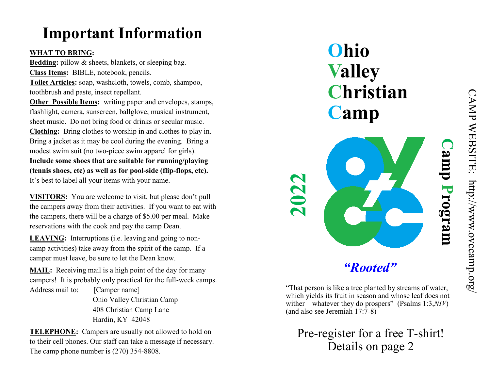# **Important Information**

### **WHAT TO BRING:**

**Bedding:** pillow & sheets, blankets, or sleeping bag. **Class Items:** BIBLE, notebook, pencils. **Toilet Articles:** soap, washcloth, towels, comb, shampoo, toothbrush and paste, insect repellant.

**Other Possible Items:** writing paper and envelopes, stamps, flashlight, camera, sunscreen, ballglove, musical instrument, sheet music. Do not bring food or drinks or secular music. **Clothing:** Bring clothes to worship in and clothes to play in. Bring a jacket as it may be cool during the evening. Bring a modest swim suit (no two-piece swim apparel for girls). **Include some shoes that are suitable for running/playing** 

**(tennis shoes, etc) as well as for pool-side (flip-flops, etc).**  It's best to label all your items with your name.

**VISITORS:** You are welcome to visit, but please don't pull the campers away from their activities. If you want to eat with the campers, there will be a charge of \$5.00 per meal. Make reservations with the cook and pay the camp Dean.

LEAVING: Interruptions (i.e. leaving and going to noncamp activities) take away from the spirit of the camp. If a camper must leave, be sure to let the Dean know.

**MAIL:** Receiving mail is a high point of the day for many campers! It is probably only practical for the full-week camps. Address mail to: [Camper name]

 Ohio Valley Christian Camp 408 Christian Camp Lane Hardin, KY 42048

**TELEPHONE:** Campers are usually not allowed to hold on to their cell phones. Our staff can take a message if necessary. The camp phone number is (270) 354-8808.

**Ohio Valley Christian Camp** *"Rooted"* **2022 Camp Program**

"That person is like a tree planted by streams of water, which yields its fruit in season and whose leaf does not

wither—whatever they do prospers" (Psalms 1:3,*NIV*)

(and also see Jeremiah 17:7-8)

Pre-register for a free T-shirt! Details on page 2